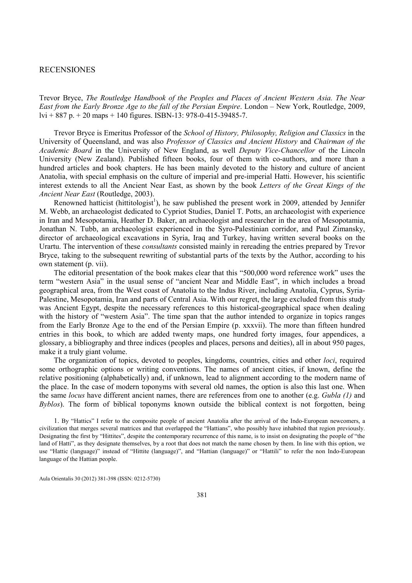## RECENSIONES

Trevor Bryce, The Routledge Handbook of the Peoples and Places of Ancient Western Asia. The Near East from the Early Bronze Age to the fall of the Persian Empire. London – New York, Routledge, 2009, lvi + 887 p. + 20 maps + 140 figures. ISBN-13: 978-0-415-39485-7.

Trevor Bryce is Emeritus Professor of the School of History, Philosophy, Religion and Classics in the University of Queensland, and was also Professor of Classics and Ancient History and Chairman of the Academic Board in the University of New England, as well Deputy Vice-Chancellor of the Lincoln University (New Zealand). Published fifteen books, four of them with co-authors, and more than a hundred articles and book chapters. He has been mainly devoted to the history and culture of ancient Anatolia, with special emphasis on the culture of imperial and pre-imperial Hatti. However, his scientific interest extends to all the Ancient Near East, as shown by the book Letters of the Great Kings of the Ancient Near East (Routledge, 2003).

Renowned hatticist (hittitologist<sup>1</sup>), he saw published the present work in 2009, attended by Jennifer M. Webb, an archaeologist dedicated to Cypriot Studies, Daniel T. Potts, an archaeologist with experience in Iran and Mesopotamia, Heather D. Baker, an archaeologist and researcher in the area of Mesopotamia, Jonathan N. Tubb, an archaeologist experienced in the Syro-Palestinian corridor, and Paul Zimansky, director of archaeological excavations in Syria, Iraq and Turkey, having written several books on the Urartu. The intervention of these consultants consisted mainly in rereading the entries prepared by Trevor Bryce, taking to the subsequent rewriting of substantial parts of the texts by the Author, according to his own statement (p. vii).

The editorial presentation of the book makes clear that this "500,000 word reference work" uses the term "western Asia" in the usual sense of "ancient Near and Middle East", in which includes a broad geographical area, from the West coast of Anatolia to the Indus River, including Anatolia, Cyprus, Syria-Palestine, Mesopotamia, Iran and parts of Central Asia. With our regret, the large excluded from this study was Ancient Egypt, despite the necessary references to this historical-geographical space when dealing with the history of "western Asia". The time span that the author intended to organize in topics ranges from the Early Bronze Age to the end of the Persian Empire (p. xxxvii). The more than fifteen hundred entries in this book, to which are added twenty maps, one hundred forty images, four appendices, a glossary, a bibliography and three indices (peoples and places, persons and deities), all in about 950 pages, make it a truly giant volume.

The organization of topics, devoted to peoples, kingdoms, countries, cities and other loci, required some orthographic options or writing conventions. The names of ancient cities, if known, define the relative positioning (alphabetically) and, if unknown, lead to alignment according to the modern name of the place. In the case of modern toponyms with several old names, the option is also this last one. When the same *locus* have different ancient names, there are references from one to another (e.g. *Gubla (1)* and  $Byblos$ . The form of biblical toponyms known outside the biblical context is not forgotten, being

1. By "Hattics" I refer to the composite people of ancient Anatolia after the arrival of the Indo-European newcomers, a civilization that merges several matrices and that overlapped the "Hattians", who possibly have inhabited that region previously. Designating the first by "Hittites", despite the contemporary recurrence of this name, is to insist on designating the people of "the land of Hatti", as they designate themselves, by a root that does not match the name chosen by them. In line with this option, we use "Hattic (language)" instead of "Hittite (language)", and "Hattian (language)" or "Hattili" to refer the non Indo-European language of the Hattian people.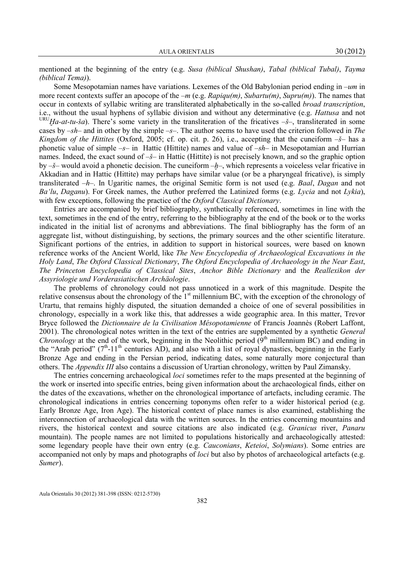mentioned at the beginning of the entry (e.g. Susa (biblical Shushan), Tabal (biblical Tubal), Tayma (biblical Tema)).

Some Mesopotamian names have variations. Lexemes of the Old Babylonian period ending in –um in more recent contexts suffer an apocope of the  $-m$  (e.g.  $Rapiqu(m)$ , Subartu(m), Supru(m)). The names that occur in contexts of syllabic writing are transliterated alphabetically in the so-called broad transcription, i.e., without the usual hyphens of syllabic division and without any determinative (e.g. Hattusa and not URU Ha-at-tu-ša). There's some variety in the transliteration of the fricatives  $-\xi$ -, transliterated in some cases by  $-sh$ – and in other by the simple  $-*s*$ –. The author seems to have used the criterion followed in The Kingdom of the Hittites (Oxford, 2005; cf. op. cit. p. 26), i.e., accepting that the cuneiform  $-\check{s}$ - has a phonetic value of simple  $-s$ – in Hattic (Hittite) names and value of  $-sh$ – in Mesopotamian and Hurrian names. Indeed, the exact sound of  $-\xi$ – in Hattic (Hittite) is not precisely known, and so the graphic option by  $-\xi$ – would avoid a phonetic decision. The cuneiform  $-h$ –, which represents a voiceless velar fricative in Akkadian and in Hattic (Hittite) may perhaps have similar value (or be a pharyngeal fricative), is simply transliterated  $-h$ –. In Ugaritic names, the original Semitic form is not used (e.g. *Baal, Dagan* and not Ba'lu, Daganu). For Greek names, the Author preferred the Latinized forms (e.g. Lycia and not Lykia), with few exceptions, following the practice of the Oxford Classical Dictionary.

Entries are accompanied by brief bibliography, synthetically referenced, sometimes in line with the text, sometimes in the end of the entry, referring to the bibliography at the end of the book or to the works indicated in the initial list of acronyms and abbreviations. The final bibliography has the form of an aggregate list, without distinguishing, by sections, the primary sources and the other scientific literature. Significant portions of the entries, in addition to support in historical sources, were based on known reference works of the Ancient World, like The New Encyclopedia of Archaeological Excavations in the Holy Land, The Oxford Classical Dictionary, The Oxford Encyclopedia of Archaeology in the Near East, The Princeton Encyclopedia of Classical Sites, Anchor Bible Dictionary and the Reallexikon der Assyriologie und Vorderasiatischen Archäologie.

The problems of chronology could not pass unnoticed in a work of this magnitude. Despite the relative consensus about the chronology of the  $1<sup>st</sup>$  millennium BC, with the exception of the chronology of Urartu, that remains highly disputed, the situation demanded a choice of one of several possibilities in chronology, especially in a work like this, that addresses a wide geographic area. In this matter, Trevor Bryce followed the Dictionnaire de la Civilisation Mésopotamienne of Francis Joannès (Robert Laffont, 2001). The chronological notes written in the text of the entries are supplemented by a synthetic General *Chronology* at the end of the work, beginning in the Neolithic period  $(9<sup>th</sup>$  millennium BC) and ending in the "Arab period"  $(7<sup>th</sup>-11<sup>th</sup>$  centuries AD), and also with a list of royal dynasties, beginning in the Early Bronze Age and ending in the Persian period, indicating dates, some naturally more conjectural than others. The Appendix III also contains a discussion of Urartian chronology, written by Paul Zimansky.

The entries concerning archaeological *loci* sometimes refer to the maps presented at the beginning of the work or inserted into specific entries, being given information about the archaeological finds, either on the dates of the excavations, whether on the chronological importance of artefacts, including ceramic. The chronological indications in entries concerning toponyms often refer to a wider historical period (e.g. Early Bronze Age, Iron Age). The historical context of place names is also examined, establishing the interconnection of archaeological data with the written sources. In the entries concerning mountains and rivers, the historical context and source citations are also indicated (e.g. Granicus river, Panaru mountain). The people names are not limited to populations historically and archaeologically attested: some legendary people have their own entry (e.g. *Cauconians, Keteioi, Solymians*). Some entries are accompanied not only by maps and photographs of *loci* but also by photos of archaeological artefacts (e.g. Sumer).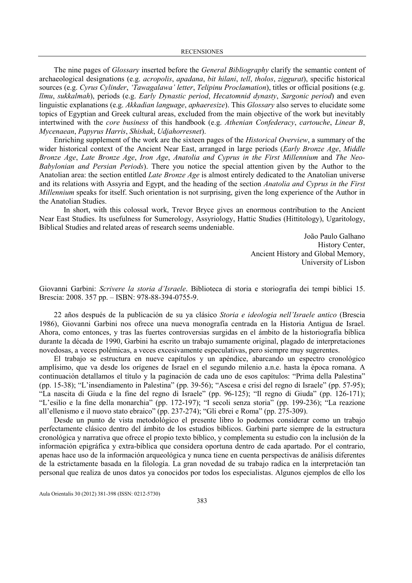The nine pages of *Glossary* inserted before the *General Bibliography* clarify the semantic content of archaeological designations (e.g. acropolis, apadana, bit hilani, tell, tholos, ziggurat), specific historical sources (e.g. Cyrus Cylinder, 'Tawagalawa' letter, Telipinu Proclamation), titles or official positions (e.g. līmu, sukkalmah), periods (e.g. Early Dynastic period, Hecatomnid dynasty, Sargonic period) and even linguistic explanations (e.g. Akkadian language, aphaeresize). This Glossary also serves to elucidate some topics of Egyptian and Greek cultural areas, excluded from the main objective of the work but inevitably intertwined with the core business of this handbook (e.g. Athenian Confederacy, cartouche, Linear B, Mycenaean, Papyrus Harris, Shishak, Udjahorresnet).

Enriching supplement of the work are the sixteen pages of the Historical Overview, a summary of the wider historical context of the Ancient Near East, arranged in large periods (Early Bronze Age, Middle Bronze Age, Late Bronze Age, Iron Age, Anatolia and Cyprus in the First Millennium and The Neo-Babylonian and Persian Periods). There you notice the special attention given by the Author to the Anatolian area: the section entitled *Late Bronze Age* is almost entirely dedicated to the Anatolian universe and its relations with Assyria and Egypt, and the heading of the section Anatolia and Cyprus in the First Millennium speaks for itself. Such orientation is not surprising, given the long experience of the Author in the Anatolian Studies.

In short, with this colossal work, Trevor Bryce gives an enormous contribution to the Ancient Near East Studies. Its usefulness for Sumerology, Assyriology, Hattic Studies (Hittitology), Ugaritology, Biblical Studies and related areas of research seems undeniable.

> João Paulo Galhano History Center, Ancient History and Global Memory, University of Lisbon

Giovanni Garbini: Scrivere la storia d'Israele. Biblioteca di storia e storiografia dei tempi biblici 15. Brescia: 2008. 357 pp. – ISBN: 978-88-394-0755-9.

22 años después de la publicación de su ya clásico Storia e ideologia nell'Israele antico (Brescia 1986), Giovanni Garbini nos ofrece una nueva monografía centrada en la Historia Antigua de Israel. Ahora, como entonces, y tras las fuertes controversias surgidas en el ámbito de la historiografía bíblica durante la década de 1990, Garbini ha escrito un trabajo sumamente original, plagado de interpretaciones novedosas, a veces polémicas, a veces excesivamente especulativas, pero siempre muy sugerentes.

El trabajo se estructura en nueve capítulos y un apéndice, abarcando un espectro cronológico amplísimo, que va desde los orígenes de Israel en el segundo milenio a.n.e. hasta la época romana. A continuación detallamos el título y la paginación de cada uno de esos capítulos: "Prima della Palestina" (pp. 15-38); "L'insendiamento in Palestina" (pp. 39-56); "Ascesa e crisi del regno di Israele" (pp. 57-95); "La nascita di Giuda e la fine del regno di Israele" (pp. 96-125); "Il regno di Giuda" (pp. 126-171); "L'esilio e la fine della monarchia" (pp. 172-197); "I secoli senza storia" (pp. 199-236); "La reazione all'ellenismo e il nuovo stato ebraico" (pp. 237-274); "Gli ebrei e Roma" (pp. 275-309).

 Desde un punto de vista metodológico el presente libro lo podemos considerar como un trabajo perfectamente clásico dentro del ámbito de los estudios bíblicos. Garbini parte siempre de la estructura cronológica y narrativa que ofrece el propio texto bíblico, y complementa su estudio con la inclusión de la información epigráfica y extra-bíblica que considera oportuna dentro de cada apartado. Por el contrario, apenas hace uso de la información arqueológica y nunca tiene en cuenta perspectivas de análisis diferentes de la estrictamente basada en la filología. La gran novedad de su trabajo radica en la interpretación tan personal que realiza de unos datos ya conocidos por todos los especialistas. Algunos ejemplos de ello los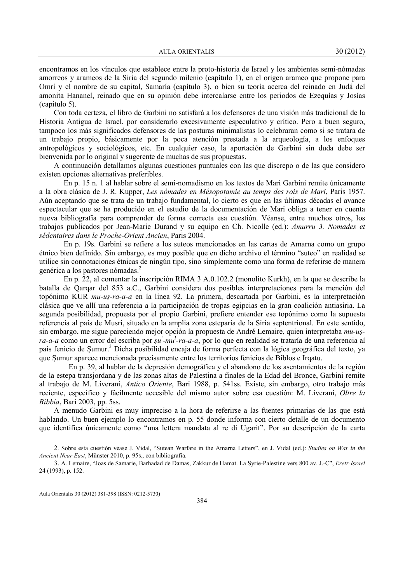encontramos en los vínculos que establece entre la proto-historia de Israel y los ambientes semi-nómadas amorreos y arameos de la Siria del segundo milenio (capítulo 1), en el origen arameo que propone para Omrí y el nombre de su capital, Samaría (capítulo 3), o bien su teoría acerca del reinado en Judá del amonita Hananel, reinado que en su opinión debe intercalarse entre los periodos de Ezequías y Josías (capítulo 5).

 Con toda certeza, el libro de Garbini no satisfará a los defensores de una visión más tradicional de la Historia Antigua de Israel, por considerarlo excesivamente especulativo y crítico. Pero a buen seguro, tampoco los más significados defensores de las posturas minimalistas lo celebraran como si se tratara de un trabajo propio, básicamente por la poca atención prestada a la arqueología, a los enfoques antropológicos y sociológicos, etc. En cualquier caso, la aportación de Garbini sin duda debe ser bienvenida por lo original y sugerente de muchas de sus propuestas.

 A continuación detallamos algunas cuestiones puntuales con las que discrepo o de las que considero existen opciones alternativas preferibles.

En p. 15 n. 1 al hablar sobre el semi-nomadismo en los textos de Mari Garbini remite únicamente a la obra clásica de J. R. Kupper, Les nómades en Mésopotamie au temps des rois de Mari, Paris 1957. Aún aceptando que se trata de un trabajo fundamental, lo cierto es que en las últimas décadas el avance espectacular que se ha producido en el estudio de la documentación de Mari obliga a tener en cuenta nueva bibliografía para comprender de forma correcta esa cuestión. Véanse, entre muchos otros, los trabajos publicados por Jean-Marie Durand y su equipo en Ch. Nicolle (ed.): Amurru 3. Nomades et sédentaires dans le Proche-Orient Ancien, Paris 2004.

En p. 19s. Garbini se refiere a los suteos mencionados en las cartas de Amarna como un grupo étnico bien definido. Sin embargo, es muy posible que en dicho archivo el término "suteo" en realidad se utilice sin connotaciones étnicas de ningún tipo, sino simplemente como una forma de referirse de manera genérica a los pastores nómadas.<sup>2</sup>

En p. 22, al comentar la inscripción RIMA 3 A.0.102.2 (monolito Kurkh), en la que se describe la batalla de Qarqar del 853 a.C., Garbini considera dos posibles interpretaciones para la mención del topónimo KUR mu-uṣ-ra-a-a en la línea 92. La primera, descartada por Garbini, es la interpretación clásica que ve allí una referencia a la participación de tropas egipcias en la gran coalición antiasiria. La segunda posibilidad, propuesta por el propio Garbini, prefiere entender ese topónimo como la supuesta referencia al país de Musri, situado en la amplia zona esteparia de la Siria septentrional. En este sentido, sin embargo, me sigue pareciendo mejor opción la propuesta de André Lemaire, quien interpretaba mu-uṣra-a-a como un error del escriba por *șu<sup>1</sup>-mu<sup>1</sup>-ra-a-a*, por lo que en realidad se trataría de una referencia al país fenicio de Sumur.<sup>3</sup> Dicha posibilidad encaja de forma perfecta con la lógica geográfica del texto, ya que Ṣumur aparece mencionada precisamente entre los territorios fenicios de Biblos e Irqatu.

 En p. 39, al hablar de la depresión demográfica y el abandono de los asentamientos de la región de la estepa transjordana y de las zonas altas de Palestina a finales de la Edad del Bronce, Garbini remite al trabajo de M. Liverani, Antico Oriente, Bari 1988, p. 541ss. Existe, sin embargo, otro trabajo más reciente, específico y fácilmente accesible del mismo autor sobre esa cuestión: M. Liverani, Oltre la Bibbia, Bari 2003, pp. 5ss.

 A menudo Garbini es muy impreciso a la hora de referirse a las fuentes primarias de las que está hablando. Un buen ejemplo lo encontramos en p. 55 donde informa con cierto detalle de un documento que identifica únicamente como "una lettera mandata al re di Ugarit". Por su descripción de la carta

<sup>2</sup>. Sobre esta cuestión véase J. Vidal, "Sutean Warfare in the Amarna Letters", en J. Vidal (ed.): Studies on War in the Ancient Near East, Münster 2010, p. 95s., con bibliografía.

<sup>3.</sup> A. Lemaire, "Joas de Samarie, Barhadad de Damas, Zakkur de Hamat. La Syrie-Palestine vers 800 av. J.-C", Eretz-Israel 24 (1993), p. 152.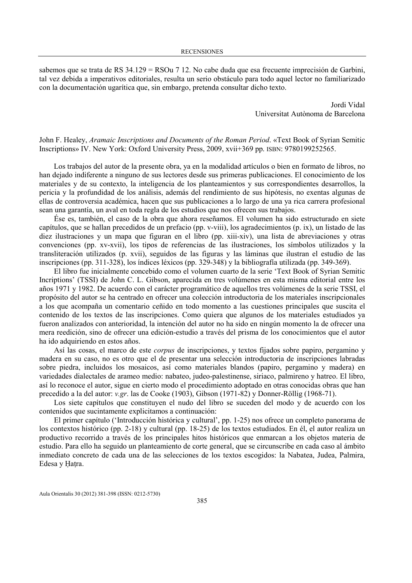sabemos que se trata de RS 34.129 = RSOu 7 12. No cabe duda que esa frecuente imprecisión de Garbini, tal vez debida a imperativos editoriales, resulta un serio obstáculo para todo aquel lector no familiarizado con la documentación ugarítica que, sin embargo, pretenda consultar dicho texto.

> Jordi Vidal Universitat Autònoma de Barcelona

John F. Healey, Aramaic Inscriptions and Documents of the Roman Period. «Text Book of Syrian Semitic Inscriptions» IV. New York: Oxford University Press, 2009, xvii+369 pp. ISBN: 9780199252565.

Los trabajos del autor de la presente obra, ya en la modalidad artículos o bien en formato de libros, no han dejado indiferente a ninguno de sus lectores desde sus primeras publicaciones. El conocimiento de los materiales y de su contexto, la inteligencia de los planteamientos y sus correspondientes desarrollos, la pericia y la profundidad de los análisis, además del rendimiento de sus hipótesis, no exentas algunas de ellas de controversia académica, hacen que sus publicaciones a lo largo de una ya rica carrera profesional sean una garantía, un aval en toda regla de los estudios que nos ofrecen sus trabajos.

Ése es, también, el caso de la obra que ahora reseñamos. El volumen ha sido estructurado en siete capítulos, que se hallan precedidos de un prefacio (pp. v-viii), los agradecimientos (p. ix), un listado de las diez ilustraciones y un mapa que figuran en el libro (pp. xiii-xiv), una lista de abreviaciones y otras convenciones (pp. xv-xvii), los tipos de referencias de las ilustraciones, los símbolos utilizados y la transliteración utilizados (p. xvii), seguidos de las figuras y las láminas que ilustran el estudio de las inscripciones (pp. 311-328), los índices léxicos (pp. 329-348) y la bibliografía utilizada (pp. 349-369).

El libro fue inicialmente concebido como el volumen cuarto de la serie 'Text Book of Syrian Semitic Incriptions' (TSSI) de John C. L. Gibson, aparecida en tres volúmenes en esta misma editorial entre los años 1971 y 1982. De acuerdo con el carácter programático de aquellos tres volúmenes de la serie TSSI, el propósito del autor se ha centrado en ofrecer una colección introductoria de los materiales inscripcionales a los que acompaña un comentario ceñido en todo momento a las cuestiones principales que suscita el contenido de los textos de las inscripciones. Como quiera que algunos de los materiales estudiados ya fueron analizados con anterioridad, la intención del autor no ha sido en ningún momento la de ofrecer una mera reedición, sino de ofrecer una edición-estudio a través del prisma de los conocimientos que el autor ha ido adquiriendo en estos años.

Así las cosas, el marco de este corpus de inscripciones, y textos fijados sobre papiro, pergamino y madera en su caso, no es otro que el de presentar una selección introductoria de inscripciones labradas sobre piedra, incluidos los mosaicos, así como materiales blandos (papiro, pergamino y madera) en variedades dialectales de arameo medio: nabateo, judeo-palestinense, siriaco, palmireno y hatreo. El libro, así lo reconoce el autor, sigue en cierto modo el procedimiento adoptado en otras conocidas obras que han precedido a la del autor: v.gr. las de Cooke (1903), Gibson (1971-82) y Donner-Röllig (1968-71).

Los siete capítulos que constituyen el nudo del libro se suceden del modo y de acuerdo con los contenidos que sucintamente explicitamos a continuación:

El primer capítulo ('Introducción histórica y cultural', pp. 1-25) nos ofrece un completo panorama de los contextos histórico (pp. 2-18) y cultural (pp. 18-25) de los textos estudiados. En él, el autor realiza un productivo recorrido a través de los principales hitos históricos que enmarcan a los objetos materia de estudio. Para ello ha seguido un planteamiento de corte general, que se circunscribe en cada caso al ámbito inmediato concreto de cada una de las selecciones de los textos escogidos: la Nabatea, Judea, Palmira, Edesa y Ḥaṭra.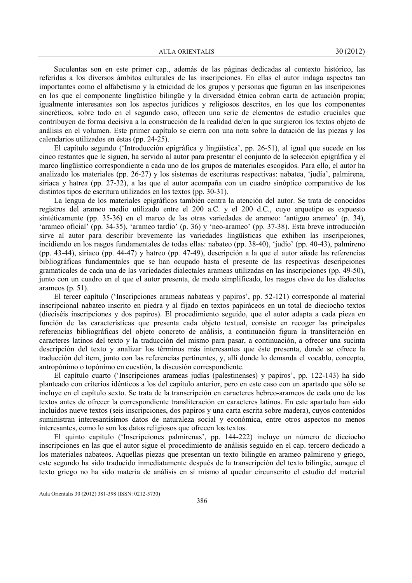AULA ORIENTALIS 30 (2012)

Suculentas son en este primer cap., además de las páginas dedicadas al contexto histórico, las referidas a los diversos ámbitos culturales de las inscripciones. En ellas el autor indaga aspectos tan importantes como el alfabetismo y la etnicidad de los grupos y personas que figuran en las inscripciones en los que el componente lingüístico bilingüe y la diversidad étnica cobran carta de actuación propia; igualmente interesantes son los aspectos jurídicos y religiosos descritos, en los que los componentes sincréticos, sobre todo en el segundo caso, ofrecen una serie de elementos de estudio cruciales que contribuyen de forma decisiva a la construcción de la realidad de/en la que surgieron los textos objeto de análisis en el volumen. Este primer capítulo se cierra con una nota sobre la datación de las piezas y los calendarios utilizados en éstas (pp. 24-25).

El capítulo segundo ('Introducción epigráfica y lingüística', pp. 26-51), al igual que sucede en los cinco restantes que le siguen, ha servido al autor para presentar el conjunto de la selección epigráfica y el marco lingüístico correspondiente a cada uno de los grupos de materiales escogidos. Para ello, el autor ha analizado los materiales (pp. 26-27) y los sistemas de escrituras respectivas: nabatea, 'judía', palmirena, siriaca y hatrea (pp. 27-32), a las que el autor acompaña con un cuadro sinóptico comparativo de los distintos tipos de escritura utilizados en los textos (pp. 30-31).

La lengua de los materiales epigráficos también centra la atención del autor. Se trata de conocidos registros del arameo medio utilizado entre el 200 a.C. y el 200 d.C., cuyo arquetipo es expuesto sintéticamente (pp. 35-36) en el marco de las otras variedades de arameo: 'antiguo arameo' (p. 34), 'arameo oficial' (pp. 34-35), 'arameo tardío' (p. 36) y 'neo-arameo' (pp. 37-38). Esta breve introducción sirve al autor para describir brevemente las variedades lingüísticas que exhiben las inscripciones, incidiendo en los rasgos fundamentales de todas ellas: nabateo (pp. 38-40), 'judío' (pp. 40-43), palmireno (pp. 43-44), siriaco (pp. 44-47) y hatreo (pp. 47-49), descripción a la que el autor añade las referencias bibliográficas fundamentales que se han ocupado hasta el presente de las respectivas descripciones gramaticales de cada una de las variedades dialectales arameas utilizadas en las inscripciones (pp. 49-50), junto con un cuadro en el que el autor presenta, de modo simplificado, los rasgos clave de los dialectos arameos (p. 51).

El tercer capítulo ('Inscripciones arameas nabateas y papiros', pp. 52-121) corresponde al material inscripcional nabateo inscrito en piedra y al fijado en textos papiráceos en un total de dieciocho textos (dieciséis inscripciones y dos papiros). El procedimiento seguido, que el autor adapta a cada pieza en función de las características que presenta cada objeto textual, consiste en recoger las principales referencias bibliográficas del objeto concreto de análisis, a continuación figura la transliteración en caracteres latinos del texto y la traducción del mismo para pasar, a continuación, a ofrecer una sucinta descripción del texto y analizar los términos más interesantes que éste presenta, donde se ofrece la traducción del item, junto con las referencias pertinentes, y, allí donde lo demanda el vocablo, concepto, antropónimo o topónimo en cuestión, la discusión correspondiente.

El capítulo cuarto ('Inscripciones arameas judías (palestinenses) y papiros', pp. 122-143) ha sido planteado con criterios idénticos a los del capítulo anterior, pero en este caso con un apartado que sólo se incluye en el capítulo sexto. Se trata de la transcripción en caracteres hebreo-arameos de cada uno de los textos antes de ofrecer la correspondiente transliteración en caracteres latinos. En este apartado han sido incluidos nueve textos (seis inscripciones, dos papiros y una carta escrita sobre madera), cuyos contenidos suministran interesantísimos datos de naturaleza social y económica, entre otros aspectos no menos interesantes, como lo son los datos religiosos que ofrecen los textos.

El quinto capítulo ('Inscripciones palmirenas', pp. 144-222) incluye un número de dieciocho inscripciones en las que el autor sigue el procedimiento de análisis seguido en el cap. tercero dedicado a los materiales nabateos. Aquellas piezas que presentan un texto bilingüe en arameo palmireno y griego, este segundo ha sido traducido inmediatamente después de la transcripción del texto bilingüe, aunque el texto griego no ha sido materia de análisis en sí mismo al quedar circunscrito el estudio del material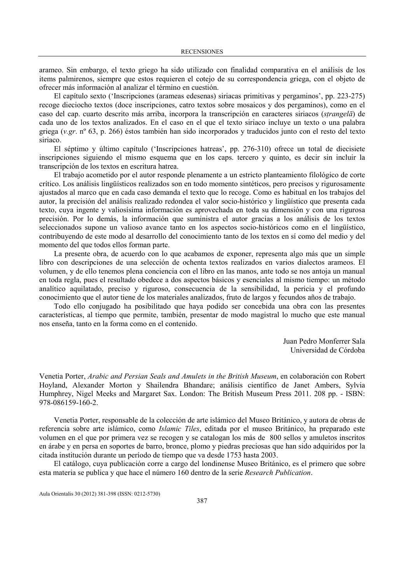arameo. Sin embargo, el texto griego ha sido utilizado con finalidad comparativa en el análisis de los items palmirenos, siempre que estos requieren el cotejo de su correspondencia griega, con el objeto de ofrecer más información al analizar el término en cuestión.

El capítulo sexto ('Inscripciones (arameas edesenas) siriacas primitivas y pergaminos', pp. 223-275) recoge dieciocho textos (doce inscripciones, catro textos sobre mosaicos y dos pergaminos), como en el caso del cap. cuarto descrito más arriba, incorpora la transcripción en caracteres siriacos (sṭrangelā) de cada uno de los textos analizados. En el caso en el que el texto siriaco incluye un texto o una palabra griega (v.gr. nº 63, p. 266) éstos también han sido incorporados y traducidos junto con el resto del texto siriaco.

El séptimo y último capítulo ('Inscripciones hatreas', pp. 276-310) ofrece un total de diecisiete inscripciones siguiendo el mismo esquema que en los caps. tercero y quinto, es decir sin incluir la transcripción de los textos en escritura hatrea.

El trabajo acometido por el autor responde plenamente a un estricto planteamiento filológico de corte crítico. Los análisis lingüísticos realizados son en todo momento sintéticos, pero precisos y rigurosamente ajustados al marco que en cada caso demanda el texto que lo recoge. Como es habitual en los trabajos del autor, la precisión del análisis realizado redondea el valor socio-histórico y lingüístico que presenta cada texto, cuya ingente y valiosísima información es aprovechada en toda su dimensión y con una rigurosa precisión. Por lo demás, la información que suministra el autor gracias a los análisis de los textos seleccionados supone un valioso avance tanto en los aspectos socio-históricos como en el lingüístico, contribuyendo de este modo al desarrollo del conocimiento tanto de los textos en sí como del medio y del momento del que todos ellos forman parte.

La presente obra, de acuerdo con lo que acabamos de exponer, representa algo más que un simple libro con descripciones de una selección de ochenta textos realizados en varios dialectos arameos. El volumen, y de ello tenemos plena conciencia con el libro en las manos, ante todo se nos antoja un manual en toda regla, pues el resultado obedece a dos aspectos básicos y esenciales al mismo tiempo: un método analítico aquilatado, preciso y riguroso, consecuencia de la sensibilidad, la pericia y el profundo conocimiento que el autor tiene de los materiales analizados, fruto de largos y fecundos años de trabajo.

Todo ello conjugado ha posibilitado que haya podido ser concebida una obra con las presentes características, al tiempo que permite, también, presentar de modo magistral lo mucho que este manual nos enseña, tanto en la forma como en el contenido.

> Juan Pedro Monferrer Sala Universidad de Córdoba

Venetia Porter, Arabic and Persian Seals and Amulets in the British Museum, en colaboración con Robert Hoyland, Alexander Morton y Shailendra Bhandare; análisis científico de Janet Ambers, Sylvia Humphrey, Nigel Meeks and Margaret Sax. London: The British Museum Press 2011. 208 pp. - ISBN: 978-086159-160-2.

Venetia Porter, responsable de la colección de arte islámico del Museo Británico, y autora de obras de referencia sobre arte islámico, como Islamic Tiles, editada por el museo Británico, ha preparado este volumen en el que por primera vez se recogen y se catalogan los más de 800 sellos y amuletos inscritos en árabe y en persa en soportes de barro, bronce, plomo y piedras preciosas que han sido adquiridos por la citada institución durante un período de tiempo que va desde 1753 hasta 2003.

 El catálogo, cuya publicación corre a cargo del londinense Museo Británico, es el primero que sobre esta materia se publica y que hace el número 160 dentro de la serie Research Publication.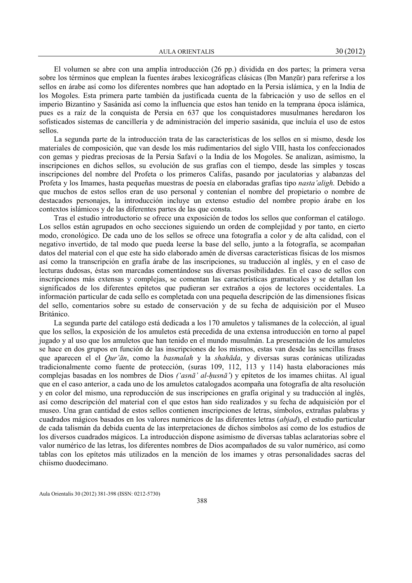El volumen se abre con una amplia introducción (26 pp.) dividida en dos partes; la primera versa sobre los términos que emplean la fuentes árabes lexicográficas clásicas (Ibn Manẓūr) para referirse a los sellos en árabe así como los diferentes nombres que han adoptado en la Persia islámica, y en la India de los Mogoles. Esta primera parte también da justificada cuenta de la fabricación y uso de sellos en el imperio Bizantino y Sasánida así como la influencia que estos han tenido en la temprana época islámica, pues es a raíz de la conquista de Persia en 637 que los conquistadores musulmanes heredaron los sofisticados sistemas de cancillería y de administración del imperio sasánida, que incluía el uso de estos sellos.

 La segunda parte de la introducción trata de las características de los sellos en si mismo, desde los materiales de composición, que van desde los más rudimentarios del siglo VIII, hasta los confeccionados con gemas y piedras preciosas de la Persia Safaví o la India de los Mogoles. Se analizan, asímismo, la inscripciones en dichos sellos, su evolución de sus grafías con el tiempo, desde las simples y toscas inscripciones del nombre del Profeta o los primeros Califas, pasando por jaculatorias y alabanzas del Profeta y los Imames, hasta pequeñas muestras de poesía en elaboradas grafías tipo nasta'aligh. Debido a que muchos de estos sellos eran de uso personal y contenían el nombre del propietario o nombre de destacados personajes, la introducción incluye un extenso estudio del nombre propio árabe en los contextos islámicos y de las diferentes partes de las que consta.

 Tras el estudio introductorio se ofrece una exposición de todos los sellos que conforman el catálogo. Los sellos están agrupados en ocho secciones siguiendo un orden de complejidad y por tanto, en cierto modo, cronológico. De cada uno de los sellos se ofrece una fotografía a color y de alta calidad, con el negativo invertido, de tal modo que pueda leerse la base del sello, junto a la fotografía, se acompañan datos del material con el que este ha sido elaborado amén de diversas características físicas de los mismos así como la transcripción en grafía árabe de las inscripciones, su traducción al inglés, y en el caso de lecturas dudosas, éstas son marcadas comentándose sus diversas posibilidades. En el caso de sellos con inscripciones más extensas y complejas, se comentan las características gramaticales y se detallan los significados de los diferentes epítetos que pudieran ser extraños a ojos de lectores occidentales. La información particular de cada sello es completada con una pequeña descripción de las dimensiones físicas del sello, comentarios sobre su estado de conservación y de su fecha de adquisición por el Museo Británico.

 La segunda parte del catálogo está dedicada a los 170 amuletos y talismanes de la colección, al igual que los sellos, la exposición de los amuletos está precedida de una extensa introducción en torno al papel jugado y al uso que los amuletos que han tenido en el mundo musulmán. La presentación de los amuletos se hace en dos grupos en función de las inscripciones de los mismos, estas van desde las sencillas frases que aparecen el el Qur'ān, como la basmalah y la shahāda, y diversas suras coránicas utilizadas tradicionalmente como fuente de protección, (suras 109, 112, 113 y 114) hasta elaboraciones más complejas basadas en los nombres de Dios ('asnā' al-ḥusnā') y epítetos de los imames chiitas. Al igual que en el caso anterior, a cada uno de los amuletos catalogados acompaña una fotografía de alta resolución y en color del mismo, una reproducción de sus inscripciones en grafía original y su traducción al inglés, así como descripción del material con el que estos han sido realizados y su fecha de adquisición por el museo. Una gran cantidad de estos sellos contienen inscripciones de letras, símbolos, extrañas palabras y cuadrados mágicos basados en los valores numéricos de las diferentes letras (abjad), el estudio particular de cada talismán da debida cuenta de las interpretaciones de dichos símbolos así como de los estudios de los diversos cuadrados mágicos. La introducción dispone asimismo de diversas tablas aclaratorias sobre el valor numérico de las letras, los diferentes nombres de Dios acompañados de su valor numérico, así como tablas con los epítetos más utilizados en la mención de los imames y otras personalidades sacras del chiismo duodecimano.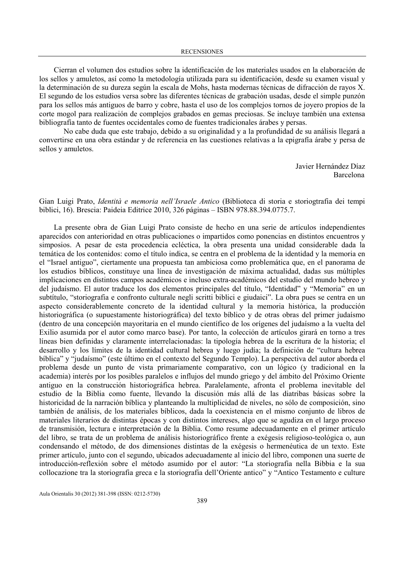Cierran el volumen dos estudios sobre la identificación de los materiales usados en la elaboración de los sellos y amuletos, así como la metodología utilizada para su identificación, desde su examen visual y la determinación de su dureza según la escala de Mohs, hasta modernas técnicas de difracción de rayos X. El segundo de los estudios versa sobre las diferentes técnicas de grabación usadas, desde el simple punzón para los sellos más antiguos de barro y cobre, hasta el uso de los complejos tornos de joyero propios de la corte mogol para realización de complejos grabados en gemas preciosas. Se incluye también una extensa bibliografía tanto de fuentes occidentales como de fuentes tradicionales árabes y persas.

No cabe duda que este trabajo, debido a su originalidad y a la profundidad de su análisis llegará a convertirse en una obra estándar y de referencia en las cuestiones relativas a la epigrafía árabe y persa de sellos y amuletos.

> Javier Hernández Díaz Barcelona

Gian Luigi Prato, Identità e memoria nell'Israele Antico (Biblioteca di storia e storiogtrafia dei tempi biblici, 16). Brescia: Paideia Editrice 2010, 326 páginas – ISBN 978.88.394.0775.7.

La presente obra de Gian Luigi Prato consiste de hecho en una serie de artículos independientes aparecidos con anterioridad en otras publicaciones o impartidos como ponencias en distintos encuentros y simposios. A pesar de esta procedencia ecléctica, la obra presenta una unidad considerable dada la temática de los contenidos: como el título indica, se centra en el problema de la identidad y la memoria en el "Israel antiguo", ciertamente una propuesta tan ambiciosa como problemática que, en el panorama de los estudios bíblicos, constituye una línea de investigación de máxima actualidad, dadas sus múltiples implicaciones en distintos campos académicos e incluso extra-académicos del estudio del mundo hebreo y del judaísmo. El autor traduce los dos elementos principales del título, "Identidad" y "Memoria" en un subtítulo, "storiografia e confronto culturale negli scritti biblici e giudaici". La obra pues se centra en un aspecto considerablemente concreto de la identidad cultural y la memoria histórica, la producción historiográfica (o supuestamente historiográfica) del texto bíblico y de otras obras del primer judaísmo (dentro de una concepción mayoritaria en el mundo científico de los orígenes del judaísmo a la vuelta del Exilio asumida por el autor como marco base). Por tanto, la colección de artículos girará en torno a tres líneas bien definidas y claramente interrelacionadas: la tipología hebrea de la escritura de la historia; el desarrollo y los límites de la identidad cultural hebrea y luego judía; la definición de "cultura hebrea bíblica" y "judaísmo" (este último en el contexto del Segundo Templo). La perspectiva del autor aborda el problema desde un punto de vista primariamente comparativo, con un lógico (y tradicional en la academia) interés por los posibles paralelos e influjos del mundo griego y del ámbito del Próximo Oriente antiguo en la construcción historiográfica hebrea. Paralelamente, afronta el problema inevitable del estudio de la Biblia como fuente, llevando la discusión más allá de las diatribas básicas sobre la historicidad de la narración bíblica y planteando la multiplicidad de niveles, no sólo de composición, sino también de análisis, de los materiales bíblicos, dada la coexistencia en el mismo conjunto de libros de materiales literarios de distintas épocas y con distintos intereses, algo que se agudiza en el largo proceso de transmisión, lectura e interpretación de la Biblia. Como resume adecuadamente en el primer artículo del libro, se trata de un problema de análisis historiográfico frente a exégesis religioso-teológica o, aun condensando el método, de dos dimensiones distintas de la exégesis o hermenéutica de un texto. Este primer artículo, junto con el segundo, ubicados adecuadamente al inicio del libro, componen una suerte de introducción-reflexión sobre el método asumido por el autor: "La storiografia nella Bibbia e la sua collocazione tra la storiografia greca e la storiografia dell'Oriente antico" y "Antico Testamento e culture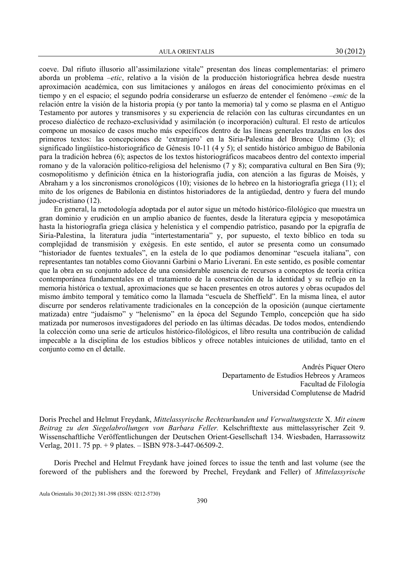AULA ORIENTALIS 30 (2012)

coeve. Dal rifiuto illusorio all'assimilazione vitale" presentan dos líneas complementarias: el primero aborda un problema –etic, relativo a la visión de la producción historiográfica hebrea desde nuestra aproximación académica, con sus limitaciones y análogos en áreas del conocimiento próximas en el tiempo y en el espacio; el segundo podría considerarse un esfuerzo de entender el fenómeno –emic de la relación entre la visión de la historia propia (y por tanto la memoria) tal y como se plasma en el Antiguo Testamento por autores y transmisores y su experiencia de relación con las culturas circundantes en un proceso dialéctico de rechazo-exclusividad y asimilación (o incorporación) cultural. El resto de artículos compone un mosaico de casos mucho más específicos dentro de las líneas generales trazadas en los dos primeros textos: las concepciones de 'extranjero' en la Siria-Palestina del Bronce Último (3); el significado lingüístico-historiográfico de Génesis 10-11 (4 y 5); el sentido histórico ambiguo de Babilonia para la tradición hebrea (6); aspectos de los textos historiográficos macabeos dentro del contexto imperial romano y de la valoración político-religiosa del helenismo (7 y 8); comparativa cultural en Ben Sira (9); cosmopolitismo y definición étnica en la historiografía judía, con atención a las figuras de Moisés, y Abraham y a los sincronismos cronológicos (10); visiones de lo hebreo en la historiografía griega (11); el mito de los orígenes de Babilonia en distintos historiadores de la antigüedad, dentro y fuera del mundo judeo-cristiano (12).

En general, la metodología adoptada por el autor sigue un método histórico-filológico que muestra un gran dominio y erudición en un amplio abanico de fuentes, desde la literatura egipcia y mesopotámica hasta la historiografía griega clásica y helenística y el compendio patrístico, pasando por la epigrafía de Siria-Palestina, la literatura judía "intertestamentaria" y, por supuesto, el texto bíblico en toda su complejidad de transmisión y exégesis. En este sentido, el autor se presenta como un consumado "historiador de fuentes textuales", en la estela de lo que podíamos denominar "escuela italiana", con representantes tan notables como Giovanni Garbini o Mario Liverani. En este sentido, es posible comentar que la obra en su conjunto adolece de una considerable ausencia de recursos a conceptos de teoría crítica contemporánea fundamentales en el tratamiento de la construcción de la identidad y su reflejo en la memoria histórica o textual, aproximaciones que se hacen presentes en otros autores y obras ocupados del mismo ámbito temporal y temático como la llamada "escuela de Sheffield". En la misma línea, el autor discurre por senderos relativamente tradicionales en la concepción de la oposición (aunque ciertamente matizada) entre "judaísmo" y "helenismo" en la época del Segundo Templo, concepción que ha sido matizada por numerosos investigadores del período en las últimas décadas. De todos modos, entendiendo la colección como una serie de artículos histórico-filológicos, el libro resulta una contribución de calidad impecable a la disciplina de los estudios bíblicos y ofrece notables intuiciones de utilidad, tanto en el conjunto como en el detalle.

> Andrés Piquer Otero Departamento de Estudios Hebreos y Arameos Facultad de Filología Universidad Complutense de Madrid

Doris Prechel and Helmut Freydank, Mittelassyrische Rechtsurkunden und Verwaltungstexte X. Mit einem Beitrag zu den Siegelabrollungen von Barbara Feller. Kelschrifttexte aus mittelassyrischer Zeit 9. Wissenschaftliche Veröffentlichungen der Deutschen Orient-Gesellschaft 134. Wiesbaden, Harrassowitz Verlag, 2011. 75 pp. + 9 plates. – ISBN 978-3-447-06509-2.

Doris Prechel and Helmut Freydank have joined forces to issue the tenth and last volume (see the foreword of the publishers and the foreword by Prechel, Freydank and Feller) of Mittelassyrische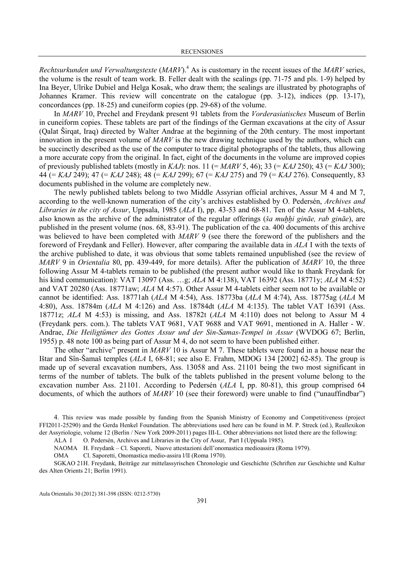Rechtsurkunden und Verwaltungstexte (MARV). $^{4}$  As is customary in the recent issues of the MARV series, the volume is the result of team work. B. Feller dealt with the sealings (pp. 71-75 and pls. 1-9) helped by Ina Beyer, Ulrike Dubiel and Helga Kosak, who draw them; the sealings are illustrated by photographs of Johannes Kramer. This review will concentrate on the catalogue (pp. 3-12), indices (pp. 13-17), concordances (pp. 18-25) and cuneiform copies (pp. 29-68) of the volume.

In MARV 10, Prechel and Freydank present 91 tablets from the Vorderasiatisches Museum of Berlin in cuneiform copies. These tablets are part of the findings of the German excavations at the city of Assur (Qalat Širqat, Iraq) directed by Walter Andrae at the beginning of the 20th century. The most important innovation in the present volume of MARV is the new drawing technique used by the authors, which can be succinctly described as the use of the computer to trace digital photographs of the tablets, thus allowing a more accurate copy from the original. In fact, eight of the documents in the volume are improved copies of previously published tablets (mostly in KAJ): nos. 11 (= MARV 5, 46); 33 (= KAJ 250); 43 (= KAJ 300); 44 (= KAJ 249); 47 (= KAJ 248); 48 (= KAJ 299); 67 (= KAJ 275) and 79 (= KAJ 276). Consequently, 83 documents published in the volume are completely new.

The newly published tablets belong to two Middle Assyrian official archives, Assur M 4 and M 7, according to the well-known numeration of the city's archives established by O. Pedersén, Archives and Libraries in the city of Assur, Uppsala, 1985 (ALA I), pp. 43-53 and 68-81. Ten of the Assur M 4-tablets, also known as the archive of the administrator of the regular offerings (*ša muḥhi gināe*, *rab gināe*), are published in the present volume (nos. 68, 83-91). The publication of the ca. 400 documents of this archive was believed to have been completed with MARV 9 (see there the foreword of the publishers and the foreword of Freydank and Feller). However, after comparing the available data in ALA I with the texts of the archive published to date, it was obvious that some tablets remained unpublished (see the review of MARV 9 in Orientalia 80, pp. 439-449, for more details). After the publication of MARV 10, the three following Assur M 4-tablets remain to be published (the present author would like to thank Freydank for his kind communication): VAT 13097 (Ass. …g; ALA M 4:138), VAT 16392 (Ass. 18771y; ALA M 4:52) and VAT 20280 (Ass. 18771aw; ALA M 4:57). Other Assur M 4-tablets either seem not to be available or cannot be identified: Ass. 18771ah (ALA M 4:54), Ass. 18773ba (ALA M 4:74), Ass. 18775ag (ALA M 4:80), Ass. 18784m (ALA M 4:126) and Ass. 18784dt (ALA M 4:135). The tablet VAT 16391 (Ass. 18771z; ALA M 4:53) is missing, and Ass. 18782t (ALA M 4:110) does not belong to Assur M 4 (Freydank pers. com.). The tablets VAT 9681, VAT 9688 and VAT 9691, mentioned in A. Haller - W. Andrae, Die Heiligtümer des Gottes Assur und der Sin-Samas-Tempel in Assur (WVDOG 67; Berlin, 1955) p. 48 note 100 as being part of Assur M 4, do not seem to have been published either.

The other "archive" present in MARV 10 is Assur M 7. These tablets were found in a house near the Ištar and Sîn-Šamaš temples (ALA I, 68-81; see also E. Frahm, MDOG 134 [2002] 62-85). The group is made up of several excavation numbers, Ass. 13058 and Ass. 21101 being the two most significant in terms of the number of tablets. The bulk of the tablets published in the present volume belong to the excavation number Ass. 21101. According to Pedersén (ALA I, pp. 80-81), this group comprised 64 documents, of which the authors of MARV 10 (see their foreword) were unable to find ("unauffindbar")

4. This review was made possible by funding from the Spanish Ministry of Economy and Competitiveness (project FFI2011-25290) and the Gerda Henkel Foundation. The abbreviations used here can be found in M. P. Streck (ed.), Reallexikon der Assyriologie, volume 12 (Berlin / New York 2009-2011) pages III-L. Other abbreviations not listed there are the following:

ALA I O. Pedersén, Archives and Libraries in the City of Assur, Part I (Uppsala 1985).

NAOMA H. Freydank – Cl. Saporeti, Nuove attestazioni dell'onomastica medioassira (Roma 1979).

OMA Cl. Saporetti, Onomastica medio-assira l/lI (Roma 1970).

SGKAO 21 H. Freydank, Beiträge zur mittelassyrischen Chronologie und Geschichte (Schriften zur Geschichte und Kultur des Alten Orients 21; Berlin 1991).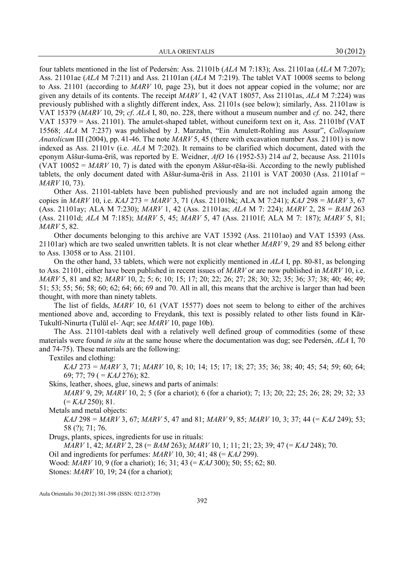four tablets mentioned in the list of Pedersén: Ass. 21101b (ALA M 7:183); Ass. 21101aa (ALA M 7:207); Ass. 21101ae (ALA M 7:211) and Ass. 21101an (ALA M 7:219). The tablet VAT 10008 seems to belong to Ass. 21101 (according to MARV 10, page 23), but it does not appear copied in the volume; nor are given any details of its contents. The receipt MARV 1, 42 (VAT 18057, Ass 21101as, ALA M 7:224) was previously published with a slightly different index, Ass. 21101s (see below); similarly, Ass. 21101aw is VAT 15379 ( $MARY$  10, 29; cf.  $ALA$  I, 80, no. 228, there without a museum number and cf. no. 242, there VAT 15379 = Ass. 21101). The amulet-shaped tablet, without cuneiform text on it, Ass. 21101bf (VAT 15568; ALA M 7:237) was published by J. Marzahn, "Ein Amulett-Rohling aus Assur", Colloquium Anatolicum III (2004), pp. 41-46. The note  $MARV$  5, 45 (there with excavation number Ass. 21101) is now indexed as Ass. 21101v (i.e. ALA M 7:202). It remains to be clarified which document, dated with the eponym Aššur-šuma-ēriš, was reported by E. Weidner, AfO 16 (1952-53) 214 ad 2, because Ass. 21101s (VAT  $10052 = MARY 10$ , 7) is dated with the eponym Aššur-rēša-iši. According to the newly published tablets, the only document dated with Aššur-šuma-ēriš in Ass. 21101 is VAT 20030 (Ass. 21101af = MARV 10, 73).

Other Ass. 21101-tablets have been published previously and are not included again among the copies in MARV 10, i.e. KAJ 273 = MARV 3, 71 (Ass. 21101bk; ALA M 7:241); KAJ 298 = MARV 3, 67 (Ass. 21101ay; ALA M 7:230); MARV 1, 42 (Ass. 21101as; ALA M 7: 224); MARV 2, 28 = BAM 263 (Ass. 21101d; ALA M 7:185); MARV 5, 45; MARV 5, 47 (Ass. 21101f; ALA M 7: 187); MARV 5, 81; MARV 5, 82.

Other documents belonging to this archive are VAT 15392 (Ass. 21101ao) and VAT 15393 (Ass. 21101ar) which are two sealed unwritten tablets. It is not clear whether  $MARV$  9, 29 and 85 belong either to Ass. 13058 or to Ass. 21101.

On the other hand, 33 tablets, which were not explicitly mentioned in ALA I, pp. 80-81, as belonging to Ass. 21101, either have been published in recent issues of MARV or are now published in MARV 10, i.e. MARV 5, 81 and 82; MARV 10, 2; 5; 6; 10; 15; 17; 20; 22; 26; 27; 28; 30; 32; 35; 36; 37; 38; 40; 46; 49; 51; 53; 55; 56; 58; 60; 62; 64; 66; 69 and 70. All in all, this means that the archive is larger than had been thought, with more than ninety tablets.

The list of fields, MARV 10, 61 (VAT 15577) does not seem to belong to either of the archives mentioned above and, according to Freydank, this text is possibly related to other lists found in Kār-Tukultī-Ninurta (Tulūl el-ʾAqr; see MARV 10, page 10b).

The Ass. 21101-tablets deal with a relatively well defined group of commodities (some of these materials were found in situ at the same house where the documentation was dug; see Pedersén, ALA I, 70 and 74-75). These materials are the following:

Textiles and clothing:

 $KAJ$  273 =  $MARV$  3, 71;  $MARV$  10, 8; 10; 14; 15; 17; 18; 27; 35; 36; 38; 40; 45; 54; 59; 60; 64; 69; 77; 79 ( $= KAJ$  276); 82.

Skins, leather, shoes, glue, sinews and parts of animals:

MARV 9, 29; MARV 10, 2; 5 (for a chariot); 6 (for a chariot); 7; 13; 20; 22; 25; 26; 28; 29; 32; 33  $(= KAJ 250); 81.$ 

Metals and metal objects:

 $KAJ$  298 =  $MARV$  3, 67;  $MARV$  5, 47 and 81;  $MARV$  9, 85;  $MARV$  10, 3; 37; 44 (=  $KAJ$  249); 53; 58 (?); 71; 76.

Drugs, plants, spices, ingredients for use in rituals:

 $MARV$  1, 42;  $MARV$  2, 28 (= BAM 263);  $MARV$  10, 1; 11; 21; 23; 39; 47 (= KAJ 248); 70.

Oil and ingredients for perfumes:  $MARY$  10, 30; 41; 48 (=  $KAJ$  299).

Wood: *MARV* 10, 9 (for a chariot); 16; 31; 43 (= *KAJ* 300); 50; 55; 62; 80.

Stones: *MARV* 10, 19; 24 (for a chariot);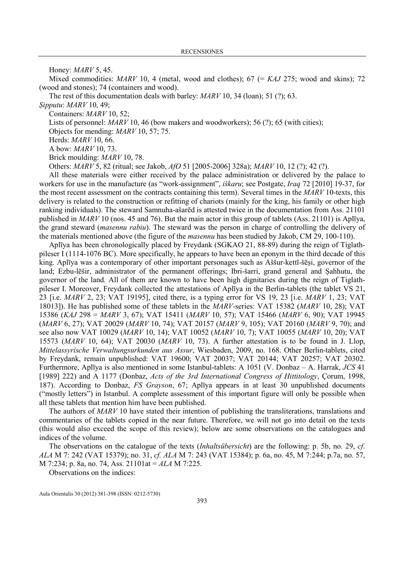Honey: MARV 5, 45.

Mixed commodities:  $MARY$  10, 4 (metal, wood and clothes); 67 (=  $KAJ$  275; wood and skins); 72 (wood and stones); 74 (containers and wood).

The rest of this documentation deals with barley: *MARV* 10, 34 (loan); 51 (?); 63.

Ṣipputu: MARV 10, 49;

Containers: MARV 10, 52;

Lists of personnel: *MARV* 10, 46 (bow makers and woodworkers); 56 (?); 65 (with cities);

Objects for mending: MARV 10, 57; 75.

Herds: MARV 10, 66.

A bow: MARV 10, 73.

Brick moulding: MARV 10, 78.

Others: MARV 5, 82 (ritual; see Jakob, AfO 51 [2005-2006] 328a); MARV 10, 12 (?); 42 (?).

All these materials were either received by the palace administration or delivered by the palace to workers for use in the manufacture (as "work-assignment", *iškaru*; see Postgate, *Iraq* 72 [2010] 19-37, for the most recent assessment on the contracts containing this term). Several times in the  $MARY$  10-texts, this delivery is related to the construction or refitting of chariots (mainly for the king, his family or other high ranking individuals). The steward Samnuha-ašarēd is attested twice in the documentation from Ass. 21101 published in  $MARV$  10 (nos. 45 and 76). But the main actor in this group of tablets (Ass. 21101) is Aplīya, the grand steward (masennu rabiu). The steward was the person in charge of controlling the delivery of the materials mentioned above (the figure of the masennu has been studied by Jakob, CM 29, 100-110).

Aplīya has been chronologically placed by Freydank (SGKAO 21, 88-89) during the reign of Tiglathpileser I (1114-1076 BC). More specifically, he appears to have been an eponym in the third decade of this king. Aplīya was a contemporary of other important personages such as Aššur-kettī-šēsi, governor of the land; Ezbu-lēšir, administrator of the permanent offerings; Ibri-šarri, grand general and Ṣahhutu, the governor of the land. All of them are known to have been high dignitaries during the reign of Tiglathpileser I. Moreover, Freydank collected the attestations of Aplīya in the Berlin-tablets (the tablet VS 21, 23 [i.e. MARV 2, 23; VAT 19195], cited there, is a typing error for VS 19, 23 [i.e. MARV 1, 23; VAT 18013]). He has published some of these tablets in the MARV-series: VAT 15382 (MARV 10, 28); VAT 15386 (KAJ 298 = MARV 3, 67); VAT 15411 (MARV 10, 57); VAT 15466 (MARV 6, 90); VAT 19945 (*MARV* 6, 27); VAT 20029 (*MARV* 10, 74); VAT 20157 (*MARV* 9, 105); VAT 20160 (*MARV* 9, 70); and see also now VAT 10029 (MARV 10, 14); VAT 10052 (MARV 10, 7); VAT 10055 (MARV 10, 20); VAT 15573 (MARV 10, 64); VAT 20030 (MARV 10, 73). A further attestation is to be found in J. Llop, Mittelassyrische Verwaltungsurkunden aus Assur, Wiesbaden, 2009, no. 168. Other Berlin-tablets, cited by Freydank, remain unpublished: VAT 19600; VAT 20037; VAT 20144; VAT 20257; VAT 20302. Furthermore, Aplīya is also mentioned in some Istanbul-tablets: A 1051 (V. Donbaz – A. Harrak, JCS 41 [1989] 222) and A 1177 (Donbaz, Acts of the 3rd International Congress of Hittitology, Corum, 1998, 187). According to Donbaz, FS Grayson, 67; Aplīya appears in at least 30 unpublished documents ("mostly letters") in Istanbul. A complete assessment of this important figure will only be possible when all these tablets that mention him have been published.

The authors of MARV 10 have stated their intention of publishing the transliterations, translations and commentaries of the tablets copied in the near future. Therefore, we will not go into detail on the texts (this would also exceed the scope of this review); below are some observations on the catalogues and indices of the volume.

The observations on the catalogue of the texts (Inhaltsübersicht) are the following: p. 5b, no. 29, cf. ALA M 7: 242 (VAT 15379); no. 31, cf. ALA M 7: 243 (VAT 15384); p. 6a, no. 45, M 7:244; p.7a, no. 57, M 7:234; p. 8a, no. 74, Ass. 21101at = ALA M 7:225.

Observations on the indices: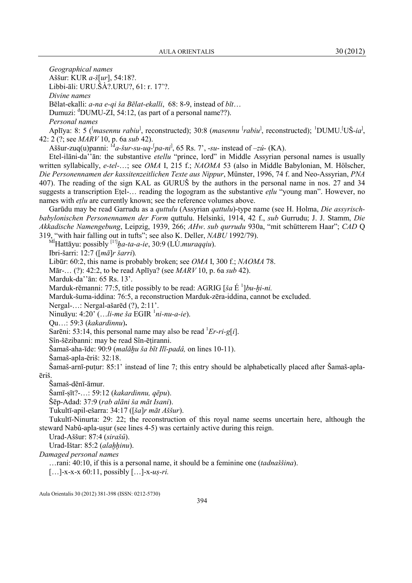Geographical names Aššur: KUR a-š[ur], 54:18?. Libbi-āli: URU.ŠÀ?.URU?, 61: r. 17'?. Divine names Bēlat-ekalli: a-na e-qi ša Bēlat-ekalli, 68: 8-9, instead of bīt... Dumuzi:  $\text{d}$ DUMU-ZI, 54:12, (as part of a personal name??). Personal names Aplīya: 8: 5 (<sup>[</sup>masennu rabiu<sup>]</sup>, reconstructed); 30:8 (masennu <sup>[</sup>rabiu<sup>]</sup>, reconstructed); <sup>1</sup>DUMU.<sup>[</sup>UŠ-ia<sup>]</sup>, 42: 2 (?; see MARV 10, p. 6a sub 42). Aššur-zuq(u)panni:  ${}^{1d}a$ -*šur-su-uq-*<sup>[</sup>*pa-ni*<sup>]</sup>, 65 Rs. 7', -*su*- instead of -*zú*- (KA).

Etel-ilāni-da<sup>"</sup>ān: the substantive *etellu* "prince, lord" in Middle Assyrian personal names is usually written syllabically, e-tel-…; see OMA I, 215 f.; NAOMA 53 (also in Middle Babylonian, M. Hölscher, Die Personennamen der kassitenzeitlichen Texte aus Nippur, Münster, 1996, 74 f. and Neo-Assyrian, PNA 407). The reading of the sign KAL as GURUŠ by the authors in the personal name in nos. 27 and 34 suggests a transcription Etel-... reading the logogram as the substantive *etlu* "young man". However, no names with *etlu* are currently known; see the reference volumes above.

Garūdu may be read Garrudu as a *quttulu* (Assyrian *qattulu*)-type name (see H. Holma, *Die assyrisch*babylonischen Personennamen der Form quttulu. Helsinki, 1914, 42 f., sub Gurrudu; J. J. Stamm, Die Akkadische Namengebung, Leipzig, 1939, 266; AHw. sub qurrudu 930a, "mit schütterem Haar"; CAD Q 319, "with hair falling out in tufts"; see also K. Deller, ABU 1992/79).

 $M$ Hattāyu: possibly  $[1!]$ ha-ta-a-ie, 30:9 (LÚ.*muraqqiu*).

Ibri-šarri: 12:7 ([mā]r šarri).

Libūr: 60:2, this name is probably broken; see *OMA* I, 300 f.; *NAOMA* 78.

Mār-… (?): 42:2, to be read Aplīya? (see MARV 10, p. 6a sub 42).

Marduk-da''ān: 65 Rs. 13'.

Marduk-rēmanni: 77:5, title possibly to be read: AGRIG [ša É<sup>1</sup>]bu-hi-ni.

Marduk-šuma-iddina: 76:5, a reconstruction Marduk-zēra-iddina, cannot be excluded.

Nergal-…: Nergal-ašarēd (?), 2:11'.

Ninuāyu: 4:20' (...*li-me ša* EGIR  $^1$ *ni-nu-a-ie*).

Qu…: 59:3 (kakardinnu).

Sarēni: 53:14, this personal name may also be read  $E_{r-ri-g}[i]$ .

Sîn-šēzibanni: may be read Sîn-ēṭiranni.

Šamaš-aha-īde: 90:9 (*malāhu ša bīt Ilī-padâ*, on lines 10-11).

Šamaš-apla-ēriš: 32:18.

Šamaš-arnī-puṭur: 85:1' instead of line 7; this entry should be alphabetically placed after Šamaš-aplaēriš.

Šamaš-dēnī-āmur.

Šamī-ṣīt?-…: 59:12 (kakardinnu, qēpu).

Šēp-Adad: 37:9 (rab alāni ša māt Isani).

Tukultī-apil-ešarra: 34:17 ([ša]r māt Aššur).

Tukultī-Ninurta: 29: 22; the reconstruction of this royal name seems uncertain here, although the steward Nabû-apla-uṣur (see lines 4-5) was certainly active during this reign.

Urad-Aššur: 87:4 (sirašû).

Urad-Ištar: 85:2 (alahhinu).

Damaged personal names

…rani: 40:10, if this is a personal name, it should be a feminine one (tadnaššina).

 $[\dots]$ -x-x-x 60:11, possibly  $[\dots]$ -x-uş-ri.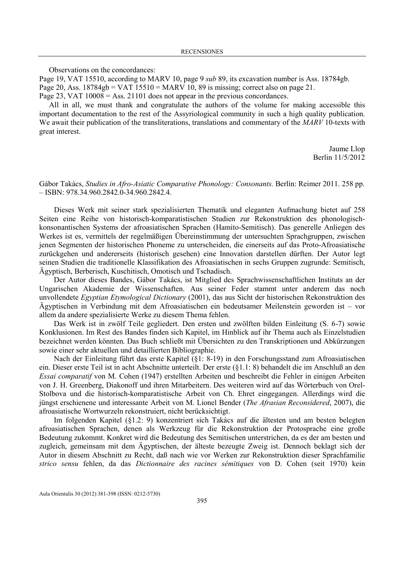Observations on the concordances:

Page 19, VAT 15510, according to MARV 10, page 9 sub 89, its excavation number is Ass. 18784gb. Page 20, Ass.  $18784gb = VAT 15510 = MARK 10$ , 89 is missing; correct also on page 21. Page 23, VAT  $10008 = Ass. 21101$  does not appear in the previous concordances.

All in all, we must thank and congratulate the authors of the volume for making accessible this important documentation to the rest of the Assyriological community in such a high quality publication. We await their publication of the transliterations, translations and commentary of the MARV 10-texts with great interest.

> Jaume Llop Berlin 11/5/2012

Gábor Takács, Studies in Afro-Asiatic Comparative Phonology: Consonants. Berlín: Reimer 2011. 258 pp. – ISBN: 978.34.960.2842.0-34.960.2842.4.

Dieses Werk mit seiner stark spezialisierten Thematik und eleganten Aufmachung bietet auf 258 Seiten eine Reihe von historisch-komparatistischen Studien zur Rekonstruktion des phonologischkonsonantischen Systems der afroasiatischen Sprachen (Hamito-Semitisch). Das generelle Anliegen des Werkes ist es, vermittels der regelmäßigen Übereinstimmung der untersuchten Sprachgruppen, zwischen jenen Segmenten der historischen Phoneme zu unterscheiden, die einerseits auf das Proto-Afroasiatische zurückgehen und andererseits (historisch gesehen) eine Innovation darstellen dürften. Der Autor legt seinen Studien die traditionelle Klassifikation des Afroasiatischen in sechs Gruppen zugrunde: Semitisch, Ägyptisch, Berberisch, Kuschitisch, Omotisch und Tschadisch.

Der Autor dieses Bandes, Gábor Takács, ist Mitglied des Sprachwissenschaftlichen Instituts an der Ungarischen Akademie der Wissenschaften. Aus seiner Feder stammt unter anderem das noch unvollendete Egyptian Etymological Dictionary (2001), das aus Sicht der historischen Rekonstruktion des Ägyptischen in Verbindung mit dem Afroasiatischen ein bedeutsamer Meilenstein geworden ist – vor allem da andere spezialisierte Werke zu diesem Thema fehlen.

Das Werk ist in zwölf Teile gegliedert. Den ersten und zwölften bilden Einleitung (S. 6-7) sowie Konklusionen. Im Rest des Bandes finden sich Kapitel, im Hinblick auf ihr Thema auch als Einzelstudien bezeichnet werden könnten. Das Buch schließt mit Übersichten zu den Transkriptionen und Abkürzungen sowie einer sehr aktuellen und detaillierten Bibliographie.

Nach der Einleitung führt das erste Kapitel (§1: 8-19) in den Forschungsstand zum Afroasiatischen ein. Dieser erste Teil ist in acht Abschnitte unterteilt. Der erste (§1.1: 8) behandelt die im Anschluß an den Essai comparatif von M. Cohen (1947) erstellten Arbeiten und beschreibt die Fehler in einigen Arbeiten von J. H. Greenberg, Diakonoff und ihren Mitarbeitern. Des weiteren wird auf das Wörterbuch von Orel-Stolbova und die historisch-komparatistische Arbeit von Ch. Ehret eingegangen. Allerdings wird die jüngst erschienene und interessante Arbeit von M. Lionel Bender (The Afrasian Reconsidered, 2007), die afroasiatische Wortwurzeln rekonstruiert, nicht berücksichtigt.

Im folgenden Kapitel (§1.2: 9) konzentriert sich Takács auf die ältesten und am besten belegten afroasiatischen Sprachen, denen als Werkzeug für die Rekonstruktion der Protosprache eine große Bedeutung zukommt. Konkret wird die Bedeutung des Semitischen unterstrichen, da es der am besten und zugleich, gemeinsam mit dem Ägyptischen, der älteste bezeugte Zweig ist. Dennoch beklagt sich der Autor in diesem Abschnitt zu Recht, daß nach wie vor Werken zur Rekonstruktion dieser Sprachfamilie strico sensu fehlen, da das Dictionnaire des racines sémitiques von D. Cohen (seit 1970) kein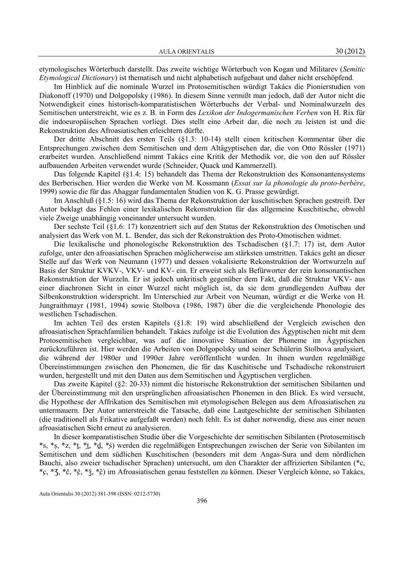etymologisches Wörterbuch darstellt. Das zweite wichtige Wörterbuch von Kogan und Militarev (Semitic Etymological Dictionary) ist thematisch und nicht alphabetisch aufgebaut und daher nicht erschöpfend.

Im Hinblick auf die nominale Wurzel im Protosemitischen würdigt Takács die Pionierstudien von Diakonoff (1970) und Dolgopolsky (1986). In diesem Sinne vermißt man jedoch, daß der Autor nicht die Notwendigkeit eines historisch-komparatistischen Wörterbuchs der Verbal- und Nominalwurzeln des Semitischen unterstreicht, wie es z. B. in Form des Lexikon der Indogermanischen Verben von H. Rix für die indoeuropäischen Sprachen vorliegt. Dies stellt eine Arbeit dar, die noch zu leisten ist und die Rekonstruktion des Afroasiatischen erleichtern dürfte.

Der dritte Abschnitt des ersten Teils (§1.3: 10-14) stellt einen kritischen Kommentar über die Entsprechungen zwischen dem Semitischen und dem Altägyptischen dar, die von Otto Rössler (1971) erarbeitet wurden. Anschließend nimmt Takács eine Kritik der Methodik vor, die von den auf Rössler aufbauenden Arbeiten verwendet wurde (Schneider, Quack und Kammerzell).

Das folgende Kapitel (§1.4: 15) behandelt das Thema der Rekonstruktion des Konsonantensystems des Berberischen. Hier werden die Werke von M. Kossmann (Essai sur la phonologie du proto-berbère, 1999) sowie die für das Ahaggar fundamentalen Studien von K. G. Prasse gewürdigt.

Im Anschluß (§1.5: 16) wird das Thema der Rekonstruktion der kuschitischen Sprachen gestreift. Der Autor beklagt das Fehlen einer lexikalischen Rekonstruktion für das allgemeine Kuschitische, obwohl viele Zweige unabhängig voneinander untersucht wurden.

Der sechste Teil (§1.6: 17) konzentriert sich auf den Status der Rekonstruktion des Omotischen und analysiert das Werk von M. L. Bender, das sich der Rekonstruktion des Proto-Omotischen widmet.

Die lexikalische und phonologische Rekonstruktion des Tschadischen (§1.7: 17) ist, dem Autor zufolge, unter den afroasiatischen Sprachen möglicherweise am stärksten umstritten. Takács geht an dieser Stelle auf das Werk von Neumann (1977) und dessen vokalisierte Rekonstruktion der Wortwurzeln auf Basis der Struktur KVKV-, VKV- und KV- ein. Er erweist sich als Befürworter der rein konsonantischen Rekonstruktion der Wurzeln. Er ist jedoch unkritisch gegenüber dem Fakt, daß die Struktur VKV- aus einer diachronen Sicht in einer Wurzel nicht möglich ist, da sie dem grundlegenden Aufbau der Silbenkonstruktion widerspricht. Im Unterschied zur Arbeit von Neuman, würdigt er die Werke von H. Jungraithmayr (1981, 1994) sowie Stolbova (1986, 1987) über die die vergleichende Phonologie des westlichen Tschadischen.

Im achten Teil des ersten Kapitels (§1.8: 19) wird abschließend der Vergleich zwischen den afroasiatischen Sprachfamilien behandelt. Takács zufolge ist die Evolution des Ägyptischen nicht mit dem Protosemitischen vergleichbar, was auf die innovative Situation der Phoneme im Ägyptischen zurückzuführen ist. Hier werden die Arbeiten von Dolgopolsky und seiner Schülerin Stolbova analysiert, die während der 1980er und 1990er Jahre veröffentlicht wurden. In ihnen wurden regelmäßige Übereinstimmungen zwischen den Phonemen, die für das Kuschitische und Tschadische rekonstruiert wurden, hergestellt und mit den Daten aus dem Semitischen und Ägyptischen verglichen.

Das zweite Kapitel (§2: 20-33) nimmt die historische Rekonstruktion der semitischen Sibilanten und der Übereinstimmung mit den ursprünglichen afroasiatischen Phonemen in den Blick. Es wird versucht, die Hypothese der Affrikation des Semitischen mit etymologischen Belegen aus dem Afroasiatischen zu untermauern. Der Autor unterstreicht die Tatsache, daß eine Lautgeschichte der semitischen Sibilanten (die traditionell als Frikative aufgefaßt werden) noch fehlt. Es ist daher notwendig, diese aus einer neuen afroasiatischen Sicht erneut zu analysieren.

In dieser komparatistischen Studie über die Vorgeschichte der semitischen Sibilanten (Protosemitisch \*s, \*ṣ, \*z, \*ṯ, \*ṯ̣, \*ḏ, \*ṣ́) werden die regelmäßigen Entsprechungen zwischen der Serie von Sibilanten im Semitischen und dem südlichen Kuschitischen (besonders mit dem Angas-Sura und dem nördlichen Bauchi, also zweier tschadischer Sprachen) untersucht, um den Charakter der affrizierten Sibilanten (\*c, \*c̣, \*Ʒ, \*č, \*č̣, \*ǯ, \*ĉ̣) im Afroasiatischen genau feststellen zu können. Dieser Vergleich könne, so Takács,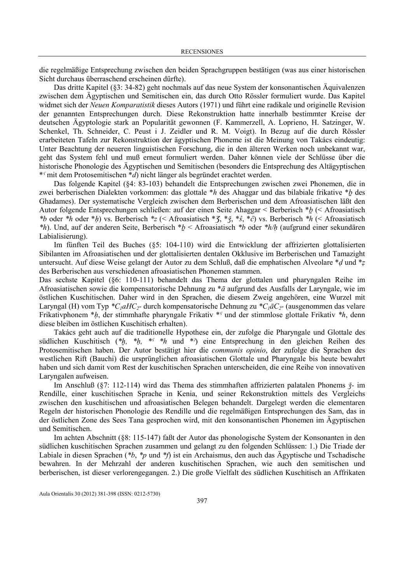die regelmäßige Entsprechung zwischen den beiden Sprachgruppen bestätigen (was aus einer historischen Sicht durchaus überraschend erscheinen dürfte).

Das dritte Kapitel (§3: 34-82) geht nochmals auf das neue System der konsonantischen Äquivalenzen zwischen dem Ägyptischen und Semitischen ein, das durch Otto Rössler formuliert wurde. Das Kapitel widmet sich der Neuen Komparatistik dieses Autors (1971) und führt eine radikale und originelle Revision der genannten Entsprechungen durch. Diese Rekonstruktion hatte innerhalb bestimmter Kreise der deutschen Ägyptologie stark an Popularität gewonnen (F. Kammerzell, A. Loprieno, H. Satzinger, W. Schenkel, Th. Schneider, C. Peust i J. Zeidler und R. M. Voigt). In Bezug auf die durch Rössler erarbeiteten Tafeln zur Rekonstruktion der ägyptischen Phoneme ist die Meinung von Takács eindeutig: Unter Beachtung der neueren linguistischen Forschung, die in den älteren Werken noch unbekannt war, geht das System fehl und muß erneut formuliert werden. Daher können viele der Schlüsse über die historische Phonologie des Ägyptischen und Semitischen (besonders die Entsprechung des Altägyptischen  $*$ <sup>r</sup> mit dem Protosemitischen  $*$ d) nicht länger als begründet erachtet werden.

Das folgende Kapitel (§4: 83-103) behandelt die Entsprechungen zwischen zwei Phonemen, die in zwei berberischen Dialekten vorkommen: das glottale \*h des Ahaggar und das bilabiale frikative \*ḇ des Ghadames). Der systematische Vergleich zwischen dem Berberischen und dem Afroasiatischen läßt den Autor folgende Entsprechungen schließen: auf der einen Seite Ahaggar < Berberisch \*ḇ (< Afroasiatisch \*b oder \*h oder \*h) vs. Berberisch \*z (< Afroasiatisch \* $\zeta$ , \* $\zeta$ , \* $\zeta$ , \* $\zeta$ , \* $\zeta$ ) vs. Berberisch \*h (< Afroasiatisch \*h). Und, auf der anderen Seite, Berberisch \*ḇ < Afroasiatisch \*b oder \*h/ḥ (aufgrund einer sekundären Labialisierung).

Im fünften Teil des Buches (§5: 104-110) wird die Entwicklung der affrizierten glottalisierten Sibilanten im Afroasiatischen und der glottalisierten dentalen Okklusive im Berberischen und Tamazight untersucht. Auf diese Weise gelangt der Autor zu dem Schluß, daß die emphatischen Alveolare \*d und \*z des Berberischen aus verschiedenen afroasiatischen Phonemen stammen.

Das sechste Kapitel (§6: 110-111) behandelt das Thema der glottalen und pharyngalen Reihe im Afroasiatischen sowie die kompensatorische Dehnung zu \*ā aufgrund des Ausfalls der Laryngale, wie im östlichen Kuschitischen. Daher wird in den Sprachen, die diesem Zweig angehören, eine Wurzel mit Laryngal (H) vom Typ  $^*C_1aHC_2$ - durch kompensatorische Dehnung zu  $^*C_1aC_2$ - (ausgenommen das velare Frikativphonem  $*h$ , der stimmhafte pharyngale Frikativ  $*$ <sup> $\epsilon$ </sup> und der stimmlose glottale Frikativ  $*h$ , denn diese bleiben im östlichen Kuschitisch erhalten).

Takács geht auch auf die traditionelle Hypothese ein, der zufolge die Pharyngale und Glottale des südlichen Kuschitisch (\* $h$ , \* $h$ , \* $\frac{f}{h}$  \*h und \* $\frac{f}{h}$ ) eine Entsprechung in den gleichen Reihen des Protosemitischen haben. Der Autor bestätigt hier die communis opinio, der zufolge die Sprachen des westlichen Rift (Bauchi) die ursprünglichen afroasiatischen Glottale und Pharyngale bis heute bewahrt haben und sich damit vom Rest der kuschitischen Sprachen unterscheiden, die eine Reihe von innovativen Laryngalen aufweisen.

Im Anschluß (§7: 112-114) wird das Thema des stimmhaften affrizierten palatalen Phonems ǯ- im Rendille, einer kuschitischen Sprache in Kenia, und seiner Rekonstruktion mittels des Vergleichs zwischen den kuschitischen und afroasiatischen Belegen behandelt. Dargelegt werden die elementaren Regeln der historischen Phonologie des Rendille und die regelmäßigen Entsprechungen des Sam, das in der östlichen Zone des Sees Tana gesprochen wird, mit den konsonantischen Phonemen im Ägyptischen und Semitischen.

Im achten Abschnitt (§8: 115-147) faßt der Autor das phonologische System der Konsonanten in den südlichen kuschitischen Sprachen zusammen und gelangt zu den folgenden Schlüssen: 1.) Die Triade der Labiale in diesen Sprachen (\*b, \*p und \*f) ist ein Archaismus, den auch das Ägyptische und Tschadische bewahren. In der Mehrzahl der anderen kuschitischen Sprachen, wie auch den semitischen und berberischen, ist dieser verlorengegangen. 2.) Die große Vielfalt des südlichen Kuschitisch an Affrikaten